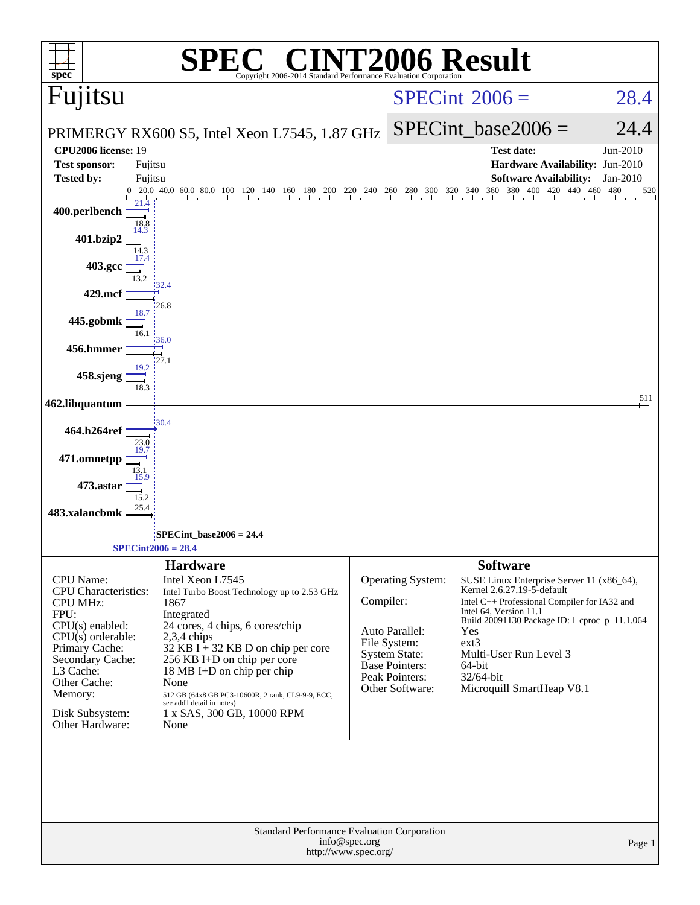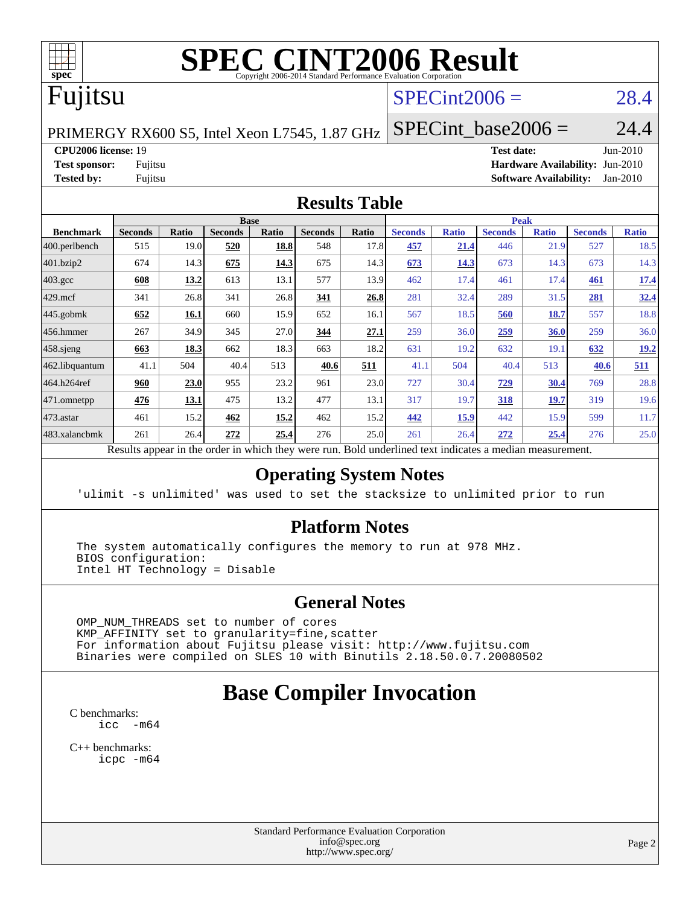

# **[SPEC CINT2006 Result](http://www.spec.org/auto/cpu2006/Docs/result-fields.html#SPECCINT2006Result)**

## Fujitsu

### $SPECint2006 = 28.4$  $SPECint2006 = 28.4$

PRIMERGY RX600 S5, Intel Xeon L7545, 1.87 GHz

SPECint base2006 =  $24.4$ 

#### **[CPU2006 license:](http://www.spec.org/auto/cpu2006/Docs/result-fields.html#CPU2006license)** 19 **[Test date:](http://www.spec.org/auto/cpu2006/Docs/result-fields.html#Testdate)** Jun-2010

**[Test sponsor:](http://www.spec.org/auto/cpu2006/Docs/result-fields.html#Testsponsor)** Fujitsu **[Hardware Availability:](http://www.spec.org/auto/cpu2006/Docs/result-fields.html#HardwareAvailability)** Jun-2010 **[Tested by:](http://www.spec.org/auto/cpu2006/Docs/result-fields.html#Testedby)** Fujitsu **[Software Availability:](http://www.spec.org/auto/cpu2006/Docs/result-fields.html#SoftwareAvailability)** Jan-2010

#### **[Results Table](http://www.spec.org/auto/cpu2006/Docs/result-fields.html#ResultsTable)**

|                    | <b>Base</b>    |              |                |              |                |       | <b>Peak</b>    |              |                |              |                |              |  |
|--------------------|----------------|--------------|----------------|--------------|----------------|-------|----------------|--------------|----------------|--------------|----------------|--------------|--|
| <b>Benchmark</b>   | <b>Seconds</b> | <b>Ratio</b> | <b>Seconds</b> | <b>Ratio</b> | <b>Seconds</b> | Ratio | <b>Seconds</b> | <b>Ratio</b> | <b>Seconds</b> | <b>Ratio</b> | <b>Seconds</b> | <b>Ratio</b> |  |
| $ 400$ .perlbench  | 515            | 19.0         | 520            | 18.8         | 548            | 17.8  | 457            | 21.4         | 446            | 21.9         | 527            | 18.5         |  |
| 401.bzip2          | 674            | 14.3         | 675            | 14.3         | 675            | 14.3  | 673            | 14.3         | 673            | 14.3         | 673            | 14.3         |  |
| $403.\mathrm{gcc}$ | 608            | 13.2         | 613            | 13.1         | 577            | 13.9  | 462            | 17.4         | 461            | 17.4         | 461            | <u>17.4</u>  |  |
| $429$ .mcf         | 341            | 26.8         | 341            | 26.8         | 341            | 26.8  | 281            | 32.4         | 289            | 31.5         | 281            | 32.4         |  |
| $445$ .gobmk       | 652            | 16.1         | 660            | 15.9         | 652            | 16.1  | 567            | 18.5         | 560            | <u>18.7</u>  | 557            | 18.8         |  |
| $ 456$ .hmmer      | 267            | 34.9         | 345            | 27.0         | 344            | 27.1  | 259            | 36.0         | 259            | 36.0         | 259            | 36.0         |  |
| $458$ .sjeng       | 663            | 18.3         | 662            | 18.3         | 663            | 18.2  | 631            | 19.2         | 632            | 19.1         | 632            | 19.2         |  |
| 462.libquantum     | 41.1           | 504          | 40.4           | 513          | 40.6           | 511   | 41.1           | 504          | 40.4           | 513          | 40.6           | 511          |  |
| 464.h264ref        | 960            | 23.0         | 955            | 23.2         | 961            | 23.0  | 727            | 30.4         | <u>729</u>     | 30.4         | 769            | 28.8         |  |
| 471.omnetpp        | 476            | 13.1         | 475            | 13.2         | 477            | 13.1  | 317            | 19.7         | 318            | 19.7         | 319            | 19.6         |  |
| $473$ . astar      | 461            | 15.2         | 462            | 15.2         | 462            | 15.2  | 442            | 15.9         | 442            | 15.9         | 599            | 11.7         |  |
| 483.xalancbmk      | 261            | 26.4         | 272            | 25.4         | 276            | 25.0  | 261            | 26.4         | 272            | 25.4         | 276            | 25.0         |  |

Results appear in the [order in which they were run.](http://www.spec.org/auto/cpu2006/Docs/result-fields.html#RunOrder) Bold underlined text [indicates a median measurement.](http://www.spec.org/auto/cpu2006/Docs/result-fields.html#Median)

#### **[Operating System Notes](http://www.spec.org/auto/cpu2006/Docs/result-fields.html#OperatingSystemNotes)**

'ulimit -s unlimited' was used to set the stacksize to unlimited prior to run

#### **[Platform Notes](http://www.spec.org/auto/cpu2006/Docs/result-fields.html#PlatformNotes)**

 The system automatically configures the memory to run at 978 MHz. BIOS configuration: Intel HT Technology = Disable

#### **[General Notes](http://www.spec.org/auto/cpu2006/Docs/result-fields.html#GeneralNotes)**

 OMP\_NUM\_THREADS set to number of cores KMP\_AFFINITY set to granularity=fine,scatter For information about Fujitsu please visit: <http://www.fujitsu.com> Binaries were compiled on SLES 10 with Binutils 2.18.50.0.7.20080502

## **[Base Compiler Invocation](http://www.spec.org/auto/cpu2006/Docs/result-fields.html#BaseCompilerInvocation)**

[C benchmarks](http://www.spec.org/auto/cpu2006/Docs/result-fields.html#Cbenchmarks):  $\text{icc}$   $-\text{m64}$ 

[C++ benchmarks:](http://www.spec.org/auto/cpu2006/Docs/result-fields.html#CXXbenchmarks) [icpc -m64](http://www.spec.org/cpu2006/results/res2010q3/cpu2006-20100702-12063.flags.html#user_CXXbase_intel_icpc_64bit_fc66a5337ce925472a5c54ad6a0de310)

> Standard Performance Evaluation Corporation [info@spec.org](mailto:info@spec.org) <http://www.spec.org/>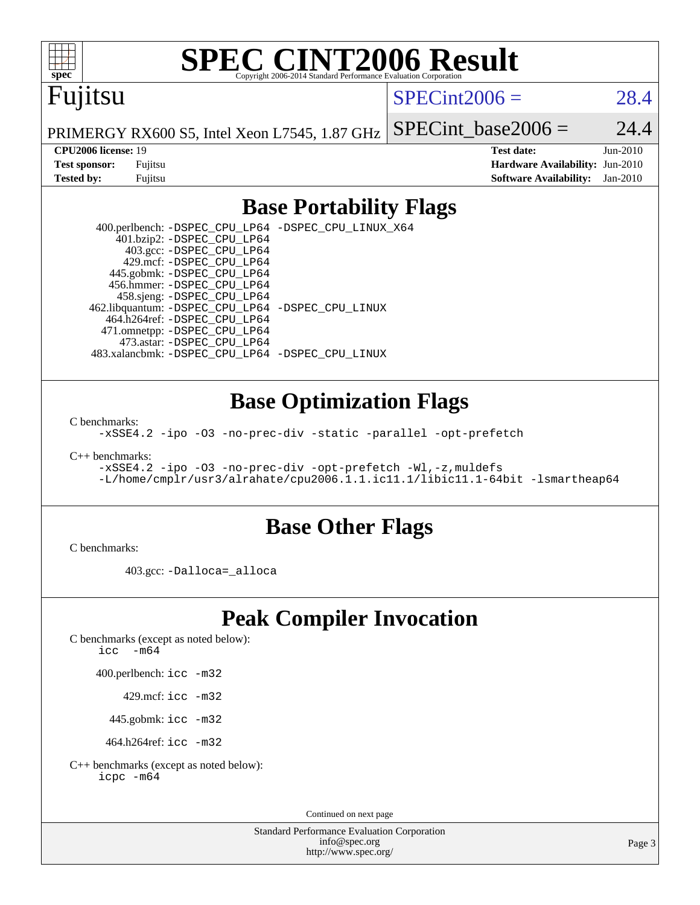

# **[SPEC CINT2006 Result](http://www.spec.org/auto/cpu2006/Docs/result-fields.html#SPECCINT2006Result)**

## Fujitsu

 $SPECint2006 = 28.4$  $SPECint2006 = 28.4$ 

PRIMERGY RX600 S5, Intel Xeon L7545, 1.87 GHz SPECint base2006 =  $24.4$ 

**[CPU2006 license:](http://www.spec.org/auto/cpu2006/Docs/result-fields.html#CPU2006license)** 19 **[Test date:](http://www.spec.org/auto/cpu2006/Docs/result-fields.html#Testdate)** Jun-2010 **[Test sponsor:](http://www.spec.org/auto/cpu2006/Docs/result-fields.html#Testsponsor)** Fujitsu **[Hardware Availability:](http://www.spec.org/auto/cpu2006/Docs/result-fields.html#HardwareAvailability)** Jun-2010 **[Tested by:](http://www.spec.org/auto/cpu2006/Docs/result-fields.html#Testedby)** Fujitsu **[Software Availability:](http://www.spec.org/auto/cpu2006/Docs/result-fields.html#SoftwareAvailability)** Jan-2010

#### **[Base Portability Flags](http://www.spec.org/auto/cpu2006/Docs/result-fields.html#BasePortabilityFlags)**

 400.perlbench: [-DSPEC\\_CPU\\_LP64](http://www.spec.org/cpu2006/results/res2010q3/cpu2006-20100702-12063.flags.html#b400.perlbench_basePORTABILITY_DSPEC_CPU_LP64) [-DSPEC\\_CPU\\_LINUX\\_X64](http://www.spec.org/cpu2006/results/res2010q3/cpu2006-20100702-12063.flags.html#b400.perlbench_baseCPORTABILITY_DSPEC_CPU_LINUX_X64) 401.bzip2: [-DSPEC\\_CPU\\_LP64](http://www.spec.org/cpu2006/results/res2010q3/cpu2006-20100702-12063.flags.html#suite_basePORTABILITY401_bzip2_DSPEC_CPU_LP64) 403.gcc: [-DSPEC\\_CPU\\_LP64](http://www.spec.org/cpu2006/results/res2010q3/cpu2006-20100702-12063.flags.html#suite_basePORTABILITY403_gcc_DSPEC_CPU_LP64) 429.mcf: [-DSPEC\\_CPU\\_LP64](http://www.spec.org/cpu2006/results/res2010q3/cpu2006-20100702-12063.flags.html#suite_basePORTABILITY429_mcf_DSPEC_CPU_LP64) 445.gobmk: [-DSPEC\\_CPU\\_LP64](http://www.spec.org/cpu2006/results/res2010q3/cpu2006-20100702-12063.flags.html#suite_basePORTABILITY445_gobmk_DSPEC_CPU_LP64) 456.hmmer: [-DSPEC\\_CPU\\_LP64](http://www.spec.org/cpu2006/results/res2010q3/cpu2006-20100702-12063.flags.html#suite_basePORTABILITY456_hmmer_DSPEC_CPU_LP64) 458.sjeng: [-DSPEC\\_CPU\\_LP64](http://www.spec.org/cpu2006/results/res2010q3/cpu2006-20100702-12063.flags.html#suite_basePORTABILITY458_sjeng_DSPEC_CPU_LP64) 462.libquantum: [-DSPEC\\_CPU\\_LP64](http://www.spec.org/cpu2006/results/res2010q3/cpu2006-20100702-12063.flags.html#suite_basePORTABILITY462_libquantum_DSPEC_CPU_LP64) [-DSPEC\\_CPU\\_LINUX](http://www.spec.org/cpu2006/results/res2010q3/cpu2006-20100702-12063.flags.html#b462.libquantum_baseCPORTABILITY_DSPEC_CPU_LINUX) 464.h264ref: [-DSPEC\\_CPU\\_LP64](http://www.spec.org/cpu2006/results/res2010q3/cpu2006-20100702-12063.flags.html#suite_basePORTABILITY464_h264ref_DSPEC_CPU_LP64) 471.omnetpp: [-DSPEC\\_CPU\\_LP64](http://www.spec.org/cpu2006/results/res2010q3/cpu2006-20100702-12063.flags.html#suite_basePORTABILITY471_omnetpp_DSPEC_CPU_LP64) 473.astar: [-DSPEC\\_CPU\\_LP64](http://www.spec.org/cpu2006/results/res2010q3/cpu2006-20100702-12063.flags.html#suite_basePORTABILITY473_astar_DSPEC_CPU_LP64) 483.xalancbmk: [-DSPEC\\_CPU\\_LP64](http://www.spec.org/cpu2006/results/res2010q3/cpu2006-20100702-12063.flags.html#suite_basePORTABILITY483_xalancbmk_DSPEC_CPU_LP64) [-DSPEC\\_CPU\\_LINUX](http://www.spec.org/cpu2006/results/res2010q3/cpu2006-20100702-12063.flags.html#b483.xalancbmk_baseCXXPORTABILITY_DSPEC_CPU_LINUX)

#### **[Base Optimization Flags](http://www.spec.org/auto/cpu2006/Docs/result-fields.html#BaseOptimizationFlags)**

[C benchmarks](http://www.spec.org/auto/cpu2006/Docs/result-fields.html#Cbenchmarks):

[-xSSE4.2](http://www.spec.org/cpu2006/results/res2010q3/cpu2006-20100702-12063.flags.html#user_CCbase_f-xSSE42_f91528193cf0b216347adb8b939d4107) [-ipo](http://www.spec.org/cpu2006/results/res2010q3/cpu2006-20100702-12063.flags.html#user_CCbase_f-ipo) [-O3](http://www.spec.org/cpu2006/results/res2010q3/cpu2006-20100702-12063.flags.html#user_CCbase_f-O3) [-no-prec-div](http://www.spec.org/cpu2006/results/res2010q3/cpu2006-20100702-12063.flags.html#user_CCbase_f-no-prec-div) [-static](http://www.spec.org/cpu2006/results/res2010q3/cpu2006-20100702-12063.flags.html#user_CCbase_f-static) [-parallel](http://www.spec.org/cpu2006/results/res2010q3/cpu2006-20100702-12063.flags.html#user_CCbase_f-parallel) [-opt-prefetch](http://www.spec.org/cpu2006/results/res2010q3/cpu2006-20100702-12063.flags.html#user_CCbase_f-opt-prefetch)

[C++ benchmarks:](http://www.spec.org/auto/cpu2006/Docs/result-fields.html#CXXbenchmarks)

[-xSSE4.2](http://www.spec.org/cpu2006/results/res2010q3/cpu2006-20100702-12063.flags.html#user_CXXbase_f-xSSE42_f91528193cf0b216347adb8b939d4107) [-ipo](http://www.spec.org/cpu2006/results/res2010q3/cpu2006-20100702-12063.flags.html#user_CXXbase_f-ipo) [-O3](http://www.spec.org/cpu2006/results/res2010q3/cpu2006-20100702-12063.flags.html#user_CXXbase_f-O3) [-no-prec-div](http://www.spec.org/cpu2006/results/res2010q3/cpu2006-20100702-12063.flags.html#user_CXXbase_f-no-prec-div) [-opt-prefetch](http://www.spec.org/cpu2006/results/res2010q3/cpu2006-20100702-12063.flags.html#user_CXXbase_f-opt-prefetch) [-Wl,-z,muldefs](http://www.spec.org/cpu2006/results/res2010q3/cpu2006-20100702-12063.flags.html#user_CXXbase_link_force_multiple1_74079c344b956b9658436fd1b6dd3a8a) [-L/home/cmplr/usr3/alrahate/cpu2006.1.1.ic11.1/libic11.1-64bit -lsmartheap64](http://www.spec.org/cpu2006/results/res2010q3/cpu2006-20100702-12063.flags.html#user_CXXbase_SmartHeap64_e2306cda84805d1ab360117a79ff779c)

#### **[Base Other Flags](http://www.spec.org/auto/cpu2006/Docs/result-fields.html#BaseOtherFlags)**

[C benchmarks](http://www.spec.org/auto/cpu2006/Docs/result-fields.html#Cbenchmarks):

403.gcc: [-Dalloca=\\_alloca](http://www.spec.org/cpu2006/results/res2010q3/cpu2006-20100702-12063.flags.html#b403.gcc_baseEXTRA_CFLAGS_Dalloca_be3056838c12de2578596ca5467af7f3)

## **[Peak Compiler Invocation](http://www.spec.org/auto/cpu2006/Docs/result-fields.html#PeakCompilerInvocation)**

[C benchmarks \(except as noted below\)](http://www.spec.org/auto/cpu2006/Docs/result-fields.html#Cbenchmarksexceptasnotedbelow):

icc  $-m64$ 

400.perlbench: [icc -m32](http://www.spec.org/cpu2006/results/res2010q3/cpu2006-20100702-12063.flags.html#user_peakCCLD400_perlbench_intel_icc_32bit_a6a621f8d50482236b970c6ac5f55f93)

429.mcf: [icc -m32](http://www.spec.org/cpu2006/results/res2010q3/cpu2006-20100702-12063.flags.html#user_peakCCLD429_mcf_intel_icc_32bit_a6a621f8d50482236b970c6ac5f55f93)

445.gobmk: [icc -m32](http://www.spec.org/cpu2006/results/res2010q3/cpu2006-20100702-12063.flags.html#user_peakCCLD445_gobmk_intel_icc_32bit_a6a621f8d50482236b970c6ac5f55f93)

464.h264ref: [icc -m32](http://www.spec.org/cpu2006/results/res2010q3/cpu2006-20100702-12063.flags.html#user_peakCCLD464_h264ref_intel_icc_32bit_a6a621f8d50482236b970c6ac5f55f93)

[C++ benchmarks \(except as noted below\):](http://www.spec.org/auto/cpu2006/Docs/result-fields.html#CXXbenchmarksexceptasnotedbelow) [icpc -m64](http://www.spec.org/cpu2006/results/res2010q3/cpu2006-20100702-12063.flags.html#user_CXXpeak_intel_icpc_64bit_fc66a5337ce925472a5c54ad6a0de310)

Continued on next page

Standard Performance Evaluation Corporation [info@spec.org](mailto:info@spec.org) <http://www.spec.org/>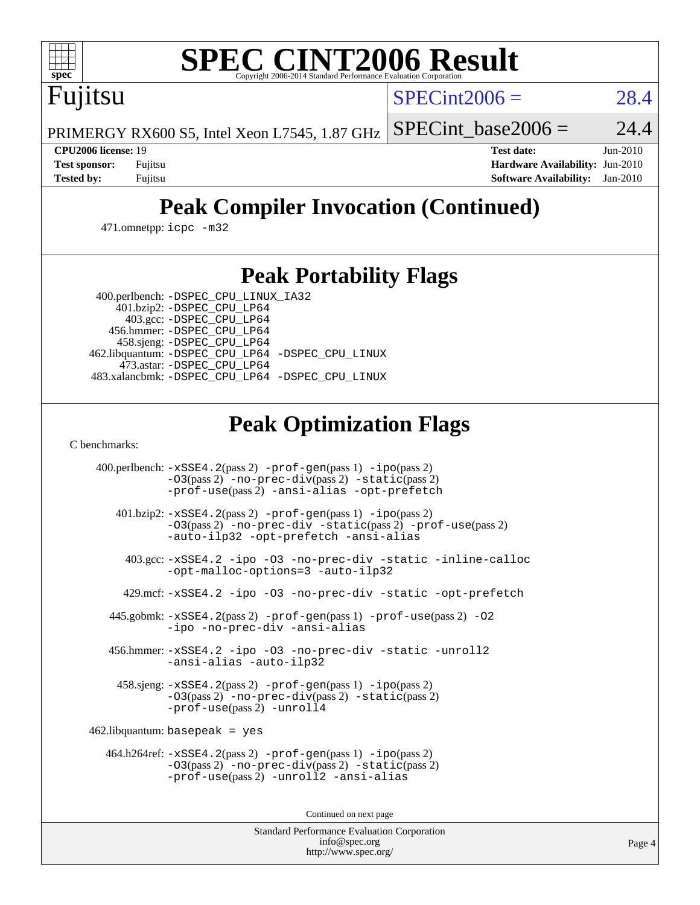

# **[SPEC CINT2006 Result](http://www.spec.org/auto/cpu2006/Docs/result-fields.html#SPECCINT2006Result)**

 $SPECint2006 = 28.4$  $SPECint2006 = 28.4$ 

PRIMERGY RX600 S5, Intel Xeon L7545, 1.87 GHz SPECint base2006 =  $24.4$ 

Fujitsu

**[CPU2006 license:](http://www.spec.org/auto/cpu2006/Docs/result-fields.html#CPU2006license)** 19 **[Test date:](http://www.spec.org/auto/cpu2006/Docs/result-fields.html#Testdate)** Jun-2010 **[Test sponsor:](http://www.spec.org/auto/cpu2006/Docs/result-fields.html#Testsponsor)** Fujitsu **[Hardware Availability:](http://www.spec.org/auto/cpu2006/Docs/result-fields.html#HardwareAvailability)** Jun-2010 **[Tested by:](http://www.spec.org/auto/cpu2006/Docs/result-fields.html#Testedby)** Fujitsu **[Software Availability:](http://www.spec.org/auto/cpu2006/Docs/result-fields.html#SoftwareAvailability)** Jan-2010

## **[Peak Compiler Invocation \(Continued\)](http://www.spec.org/auto/cpu2006/Docs/result-fields.html#PeakCompilerInvocation)**

471.omnetpp: [icpc -m32](http://www.spec.org/cpu2006/results/res2010q3/cpu2006-20100702-12063.flags.html#user_peakCXXLD471_omnetpp_intel_icpc_32bit_4e5a5ef1a53fd332b3c49e69c3330699)

### **[Peak Portability Flags](http://www.spec.org/auto/cpu2006/Docs/result-fields.html#PeakPortabilityFlags)**

400.perlbench: [-DSPEC\\_CPU\\_LINUX\\_IA32](http://www.spec.org/cpu2006/results/res2010q3/cpu2006-20100702-12063.flags.html#b400.perlbench_peakCPORTABILITY_DSPEC_CPU_LINUX_IA32)

 401.bzip2: [-DSPEC\\_CPU\\_LP64](http://www.spec.org/cpu2006/results/res2010q3/cpu2006-20100702-12063.flags.html#suite_peakPORTABILITY401_bzip2_DSPEC_CPU_LP64) 403.gcc: [-DSPEC\\_CPU\\_LP64](http://www.spec.org/cpu2006/results/res2010q3/cpu2006-20100702-12063.flags.html#suite_peakPORTABILITY403_gcc_DSPEC_CPU_LP64) 456.hmmer: [-DSPEC\\_CPU\\_LP64](http://www.spec.org/cpu2006/results/res2010q3/cpu2006-20100702-12063.flags.html#suite_peakPORTABILITY456_hmmer_DSPEC_CPU_LP64) 458.sjeng: [-DSPEC\\_CPU\\_LP64](http://www.spec.org/cpu2006/results/res2010q3/cpu2006-20100702-12063.flags.html#suite_peakPORTABILITY458_sjeng_DSPEC_CPU_LP64) 462.libquantum: [-DSPEC\\_CPU\\_LP64](http://www.spec.org/cpu2006/results/res2010q3/cpu2006-20100702-12063.flags.html#suite_peakPORTABILITY462_libquantum_DSPEC_CPU_LP64) [-DSPEC\\_CPU\\_LINUX](http://www.spec.org/cpu2006/results/res2010q3/cpu2006-20100702-12063.flags.html#b462.libquantum_peakCPORTABILITY_DSPEC_CPU_LINUX) 473.astar: [-DSPEC\\_CPU\\_LP64](http://www.spec.org/cpu2006/results/res2010q3/cpu2006-20100702-12063.flags.html#suite_peakPORTABILITY473_astar_DSPEC_CPU_LP64) 483.xalancbmk: [-DSPEC\\_CPU\\_LP64](http://www.spec.org/cpu2006/results/res2010q3/cpu2006-20100702-12063.flags.html#suite_peakPORTABILITY483_xalancbmk_DSPEC_CPU_LP64) [-DSPEC\\_CPU\\_LINUX](http://www.spec.org/cpu2006/results/res2010q3/cpu2006-20100702-12063.flags.html#b483.xalancbmk_peakCXXPORTABILITY_DSPEC_CPU_LINUX)

## **[Peak Optimization Flags](http://www.spec.org/auto/cpu2006/Docs/result-fields.html#PeakOptimizationFlags)**

[C benchmarks](http://www.spec.org/auto/cpu2006/Docs/result-fields.html#Cbenchmarks):

 400.perlbench: [-xSSE4.2](http://www.spec.org/cpu2006/results/res2010q3/cpu2006-20100702-12063.flags.html#user_peakPASS2_CFLAGSPASS2_LDCFLAGS400_perlbench_f-xSSE42_f91528193cf0b216347adb8b939d4107)(pass 2) [-prof-gen](http://www.spec.org/cpu2006/results/res2010q3/cpu2006-20100702-12063.flags.html#user_peakPASS1_CFLAGSPASS1_LDCFLAGS400_perlbench_prof_gen_e43856698f6ca7b7e442dfd80e94a8fc)(pass 1) [-ipo](http://www.spec.org/cpu2006/results/res2010q3/cpu2006-20100702-12063.flags.html#user_peakPASS2_CFLAGSPASS2_LDCFLAGS400_perlbench_f-ipo)(pass 2) [-O3](http://www.spec.org/cpu2006/results/res2010q3/cpu2006-20100702-12063.flags.html#user_peakPASS2_CFLAGSPASS2_LDCFLAGS400_perlbench_f-O3)(pass 2) [-no-prec-div](http://www.spec.org/cpu2006/results/res2010q3/cpu2006-20100702-12063.flags.html#user_peakPASS2_CFLAGSPASS2_LDCFLAGS400_perlbench_f-no-prec-div)(pass 2) [-static](http://www.spec.org/cpu2006/results/res2010q3/cpu2006-20100702-12063.flags.html#user_peakPASS2_CFLAGSPASS2_LDCFLAGS400_perlbench_f-static)(pass 2) [-prof-use](http://www.spec.org/cpu2006/results/res2010q3/cpu2006-20100702-12063.flags.html#user_peakPASS2_CFLAGSPASS2_LDCFLAGS400_perlbench_prof_use_bccf7792157ff70d64e32fe3e1250b55)(pass 2) [-ansi-alias](http://www.spec.org/cpu2006/results/res2010q3/cpu2006-20100702-12063.flags.html#user_peakCOPTIMIZE400_perlbench_f-ansi-alias) [-opt-prefetch](http://www.spec.org/cpu2006/results/res2010q3/cpu2006-20100702-12063.flags.html#user_peakCOPTIMIZE400_perlbench_f-opt-prefetch) 401.bzip2: [-xSSE4.2](http://www.spec.org/cpu2006/results/res2010q3/cpu2006-20100702-12063.flags.html#user_peakPASS2_CFLAGSPASS2_LDCFLAGS401_bzip2_f-xSSE42_f91528193cf0b216347adb8b939d4107)(pass 2) [-prof-gen](http://www.spec.org/cpu2006/results/res2010q3/cpu2006-20100702-12063.flags.html#user_peakPASS1_CFLAGSPASS1_LDCFLAGS401_bzip2_prof_gen_e43856698f6ca7b7e442dfd80e94a8fc)(pass 1) [-ipo](http://www.spec.org/cpu2006/results/res2010q3/cpu2006-20100702-12063.flags.html#user_peakPASS2_CFLAGSPASS2_LDCFLAGS401_bzip2_f-ipo)(pass 2) [-O3](http://www.spec.org/cpu2006/results/res2010q3/cpu2006-20100702-12063.flags.html#user_peakPASS2_CFLAGSPASS2_LDCFLAGS401_bzip2_f-O3)(pass 2) [-no-prec-div](http://www.spec.org/cpu2006/results/res2010q3/cpu2006-20100702-12063.flags.html#user_peakCOPTIMIZEPASS2_CFLAGSPASS2_LDCFLAGS401_bzip2_f-no-prec-div) [-static](http://www.spec.org/cpu2006/results/res2010q3/cpu2006-20100702-12063.flags.html#user_peakPASS2_CFLAGSPASS2_LDCFLAGS401_bzip2_f-static)(pass 2) [-prof-use](http://www.spec.org/cpu2006/results/res2010q3/cpu2006-20100702-12063.flags.html#user_peakPASS2_CFLAGSPASS2_LDCFLAGS401_bzip2_prof_use_bccf7792157ff70d64e32fe3e1250b55)(pass 2) [-auto-ilp32](http://www.spec.org/cpu2006/results/res2010q3/cpu2006-20100702-12063.flags.html#user_peakCOPTIMIZE401_bzip2_f-auto-ilp32) [-opt-prefetch](http://www.spec.org/cpu2006/results/res2010q3/cpu2006-20100702-12063.flags.html#user_peakCOPTIMIZE401_bzip2_f-opt-prefetch) [-ansi-alias](http://www.spec.org/cpu2006/results/res2010q3/cpu2006-20100702-12063.flags.html#user_peakCOPTIMIZE401_bzip2_f-ansi-alias) 403.gcc: [-xSSE4.2](http://www.spec.org/cpu2006/results/res2010q3/cpu2006-20100702-12063.flags.html#user_peakCOPTIMIZE403_gcc_f-xSSE42_f91528193cf0b216347adb8b939d4107) [-ipo](http://www.spec.org/cpu2006/results/res2010q3/cpu2006-20100702-12063.flags.html#user_peakCOPTIMIZE403_gcc_f-ipo) [-O3](http://www.spec.org/cpu2006/results/res2010q3/cpu2006-20100702-12063.flags.html#user_peakCOPTIMIZE403_gcc_f-O3) [-no-prec-div](http://www.spec.org/cpu2006/results/res2010q3/cpu2006-20100702-12063.flags.html#user_peakCOPTIMIZE403_gcc_f-no-prec-div) [-static](http://www.spec.org/cpu2006/results/res2010q3/cpu2006-20100702-12063.flags.html#user_peakCOPTIMIZE403_gcc_f-static) [-inline-calloc](http://www.spec.org/cpu2006/results/res2010q3/cpu2006-20100702-12063.flags.html#user_peakCOPTIMIZE403_gcc_f-inline-calloc) [-opt-malloc-options=3](http://www.spec.org/cpu2006/results/res2010q3/cpu2006-20100702-12063.flags.html#user_peakCOPTIMIZE403_gcc_f-opt-malloc-options_13ab9b803cf986b4ee62f0a5998c2238) [-auto-ilp32](http://www.spec.org/cpu2006/results/res2010q3/cpu2006-20100702-12063.flags.html#user_peakCOPTIMIZE403_gcc_f-auto-ilp32) 429.mcf: [-xSSE4.2](http://www.spec.org/cpu2006/results/res2010q3/cpu2006-20100702-12063.flags.html#user_peakCOPTIMIZE429_mcf_f-xSSE42_f91528193cf0b216347adb8b939d4107) [-ipo](http://www.spec.org/cpu2006/results/res2010q3/cpu2006-20100702-12063.flags.html#user_peakCOPTIMIZE429_mcf_f-ipo) [-O3](http://www.spec.org/cpu2006/results/res2010q3/cpu2006-20100702-12063.flags.html#user_peakCOPTIMIZE429_mcf_f-O3) [-no-prec-div](http://www.spec.org/cpu2006/results/res2010q3/cpu2006-20100702-12063.flags.html#user_peakCOPTIMIZE429_mcf_f-no-prec-div) [-static](http://www.spec.org/cpu2006/results/res2010q3/cpu2006-20100702-12063.flags.html#user_peakCOPTIMIZE429_mcf_f-static) [-opt-prefetch](http://www.spec.org/cpu2006/results/res2010q3/cpu2006-20100702-12063.flags.html#user_peakCOPTIMIZE429_mcf_f-opt-prefetch) 445.gobmk: [-xSSE4.2](http://www.spec.org/cpu2006/results/res2010q3/cpu2006-20100702-12063.flags.html#user_peakPASS2_CFLAGSPASS2_LDCFLAGS445_gobmk_f-xSSE42_f91528193cf0b216347adb8b939d4107)(pass 2) [-prof-gen](http://www.spec.org/cpu2006/results/res2010q3/cpu2006-20100702-12063.flags.html#user_peakPASS1_CFLAGSPASS1_LDCFLAGS445_gobmk_prof_gen_e43856698f6ca7b7e442dfd80e94a8fc)(pass 1) [-prof-use](http://www.spec.org/cpu2006/results/res2010q3/cpu2006-20100702-12063.flags.html#user_peakPASS2_CFLAGSPASS2_LDCFLAGS445_gobmk_prof_use_bccf7792157ff70d64e32fe3e1250b55)(pass 2) [-O2](http://www.spec.org/cpu2006/results/res2010q3/cpu2006-20100702-12063.flags.html#user_peakCOPTIMIZE445_gobmk_f-O2) [-ipo](http://www.spec.org/cpu2006/results/res2010q3/cpu2006-20100702-12063.flags.html#user_peakCOPTIMIZE445_gobmk_f-ipo) [-no-prec-div](http://www.spec.org/cpu2006/results/res2010q3/cpu2006-20100702-12063.flags.html#user_peakCOPTIMIZE445_gobmk_f-no-prec-div) [-ansi-alias](http://www.spec.org/cpu2006/results/res2010q3/cpu2006-20100702-12063.flags.html#user_peakCOPTIMIZE445_gobmk_f-ansi-alias) 456.hmmer: [-xSSE4.2](http://www.spec.org/cpu2006/results/res2010q3/cpu2006-20100702-12063.flags.html#user_peakCOPTIMIZE456_hmmer_f-xSSE42_f91528193cf0b216347adb8b939d4107) [-ipo](http://www.spec.org/cpu2006/results/res2010q3/cpu2006-20100702-12063.flags.html#user_peakCOPTIMIZE456_hmmer_f-ipo) [-O3](http://www.spec.org/cpu2006/results/res2010q3/cpu2006-20100702-12063.flags.html#user_peakCOPTIMIZE456_hmmer_f-O3) [-no-prec-div](http://www.spec.org/cpu2006/results/res2010q3/cpu2006-20100702-12063.flags.html#user_peakCOPTIMIZE456_hmmer_f-no-prec-div) [-static](http://www.spec.org/cpu2006/results/res2010q3/cpu2006-20100702-12063.flags.html#user_peakCOPTIMIZE456_hmmer_f-static) [-unroll2](http://www.spec.org/cpu2006/results/res2010q3/cpu2006-20100702-12063.flags.html#user_peakCOPTIMIZE456_hmmer_f-unroll_784dae83bebfb236979b41d2422d7ec2) [-ansi-alias](http://www.spec.org/cpu2006/results/res2010q3/cpu2006-20100702-12063.flags.html#user_peakCOPTIMIZE456_hmmer_f-ansi-alias) [-auto-ilp32](http://www.spec.org/cpu2006/results/res2010q3/cpu2006-20100702-12063.flags.html#user_peakCOPTIMIZE456_hmmer_f-auto-ilp32) 458.sjeng: [-xSSE4.2](http://www.spec.org/cpu2006/results/res2010q3/cpu2006-20100702-12063.flags.html#user_peakPASS2_CFLAGSPASS2_LDCFLAGS458_sjeng_f-xSSE42_f91528193cf0b216347adb8b939d4107)(pass 2) [-prof-gen](http://www.spec.org/cpu2006/results/res2010q3/cpu2006-20100702-12063.flags.html#user_peakPASS1_CFLAGSPASS1_LDCFLAGS458_sjeng_prof_gen_e43856698f6ca7b7e442dfd80e94a8fc)(pass 1) [-ipo](http://www.spec.org/cpu2006/results/res2010q3/cpu2006-20100702-12063.flags.html#user_peakPASS2_CFLAGSPASS2_LDCFLAGS458_sjeng_f-ipo)(pass 2) [-O3](http://www.spec.org/cpu2006/results/res2010q3/cpu2006-20100702-12063.flags.html#user_peakPASS2_CFLAGSPASS2_LDCFLAGS458_sjeng_f-O3)(pass 2) [-no-prec-div](http://www.spec.org/cpu2006/results/res2010q3/cpu2006-20100702-12063.flags.html#user_peakPASS2_CFLAGSPASS2_LDCFLAGS458_sjeng_f-no-prec-div)(pass 2) [-static](http://www.spec.org/cpu2006/results/res2010q3/cpu2006-20100702-12063.flags.html#user_peakPASS2_CFLAGSPASS2_LDCFLAGS458_sjeng_f-static)(pass 2) [-prof-use](http://www.spec.org/cpu2006/results/res2010q3/cpu2006-20100702-12063.flags.html#user_peakPASS2_CFLAGSPASS2_LDCFLAGS458_sjeng_prof_use_bccf7792157ff70d64e32fe3e1250b55)(pass 2) [-unroll4](http://www.spec.org/cpu2006/results/res2010q3/cpu2006-20100702-12063.flags.html#user_peakCOPTIMIZE458_sjeng_f-unroll_4e5e4ed65b7fd20bdcd365bec371b81f) 462.libquantum: basepeak = yes 464.h264ref: [-xSSE4.2](http://www.spec.org/cpu2006/results/res2010q3/cpu2006-20100702-12063.flags.html#user_peakPASS2_CFLAGSPASS2_LDCFLAGS464_h264ref_f-xSSE42_f91528193cf0b216347adb8b939d4107)(pass 2) [-prof-gen](http://www.spec.org/cpu2006/results/res2010q3/cpu2006-20100702-12063.flags.html#user_peakPASS1_CFLAGSPASS1_LDCFLAGS464_h264ref_prof_gen_e43856698f6ca7b7e442dfd80e94a8fc)(pass 1) [-ipo](http://www.spec.org/cpu2006/results/res2010q3/cpu2006-20100702-12063.flags.html#user_peakPASS2_CFLAGSPASS2_LDCFLAGS464_h264ref_f-ipo)(pass 2) [-O3](http://www.spec.org/cpu2006/results/res2010q3/cpu2006-20100702-12063.flags.html#user_peakPASS2_CFLAGSPASS2_LDCFLAGS464_h264ref_f-O3)(pass 2) [-no-prec-div](http://www.spec.org/cpu2006/results/res2010q3/cpu2006-20100702-12063.flags.html#user_peakPASS2_CFLAGSPASS2_LDCFLAGS464_h264ref_f-no-prec-div)(pass 2) [-static](http://www.spec.org/cpu2006/results/res2010q3/cpu2006-20100702-12063.flags.html#user_peakPASS2_CFLAGSPASS2_LDCFLAGS464_h264ref_f-static)(pass 2) [-prof-use](http://www.spec.org/cpu2006/results/res2010q3/cpu2006-20100702-12063.flags.html#user_peakPASS2_CFLAGSPASS2_LDCFLAGS464_h264ref_prof_use_bccf7792157ff70d64e32fe3e1250b55)(pass 2) [-unroll2](http://www.spec.org/cpu2006/results/res2010q3/cpu2006-20100702-12063.flags.html#user_peakCOPTIMIZE464_h264ref_f-unroll_784dae83bebfb236979b41d2422d7ec2) [-ansi-alias](http://www.spec.org/cpu2006/results/res2010q3/cpu2006-20100702-12063.flags.html#user_peakCOPTIMIZE464_h264ref_f-ansi-alias)

Continued on next page

Standard Performance Evaluation Corporation [info@spec.org](mailto:info@spec.org) <http://www.spec.org/>